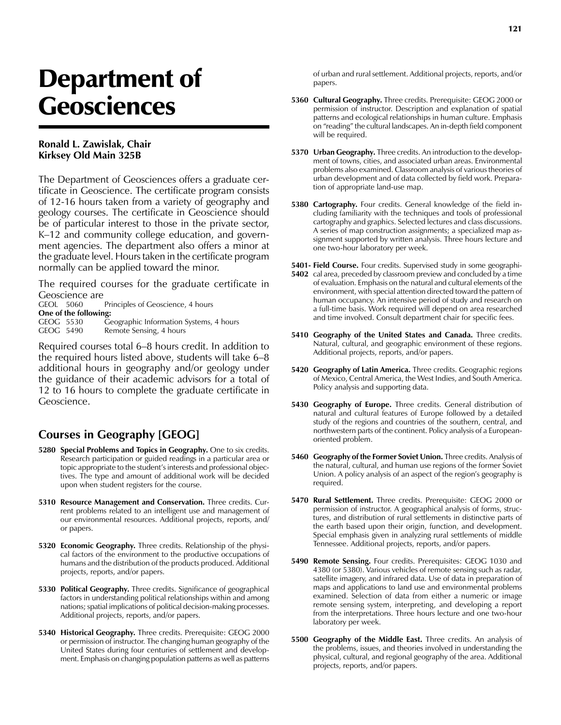## Department of Geosciences

## **Ronald L. Zawislak, Chair Kirksey Old Main 325B**

The Department of Geosciences offers a graduate certificate in Geoscience. The certificate program consists of 12-16 hours taken from a variety of geography and geology courses. The certificate in Geoscience should be of particular interest to those in the private sector, K–12 and community college education, and government agencies. The department also offers a minor at the graduate level. Hours taken in the certificate program normally can be applied toward the minor.

The required courses for the graduate certificate in Geoscience are<br>GEOL 5060

Principles of Geoscience, 4 hours **One of the following:**<br>GEOG 5530 G GEOG 5530 Geographic Information Systems, 4 hours<br>GEOG 5490 Remote Sensing, 4 hours Remote Sensing, 4 hours

Required courses total 6–8 hours credit. In addition to the required hours listed above, students will take 6–8 additional hours in geography and/or geology under the guidance of their academic advisors for a total of 12 to 16 hours to complete the graduate certificate in Geoscience.

## **Courses in Geography [GEOG]**

- **5280 Special Problems and Topics in Geography.** One to six credits. Research participation or guided readings in a particular area or topic appropriate to the student's interests and professional objectives. The type and amount of additional work will be decided upon when student registers for the course.
- **5310 Resource Management and Conservation.** Three credits. Current problems related to an intelligent use and management of our environmental resources. Additional projects, reports, and/ or papers.
- **5320 Economic Geography.** Three credits. Relationship of the physical factors of the environment to the productive occupations of humans and the distribution of the products produced. Additional projects, reports, and/or papers.
- **5330 Political Geography.** Three credits. Significance of geographical factors in understanding political relationships within and among nations; spatial implications of political decision-making processes. Additional projects, reports, and/or papers.
- **5340 Historical Geography.** Three credits. Prerequisite: GEOG 2000 or permission of instructor. The changing human geography of the United States during four centuries of settlement and development. Emphasis on changing population patterns as well as patterns

of urban and rural settlement. Additional projects, reports, and/or papers.

- **5360 Cultural Geography.** Three credits. Prerequisite: GEOG 2000 or permission of instructor. Description and explanation of spatial patterns and ecological relationships in human culture. Emphasis on "reading" the cultural landscapes. An in-depth field component will be required.
- **5370 Urban Geography.** Three credits. An introduction to the development of towns, cities, and associated urban areas. Environmental problems also examined. Classroom analysis of various theories of urban development and of data collected by field work. Preparation of appropriate land-use map.
- **5380 Cartography.** Four credits. General knowledge of the field including familiarity with the techniques and tools of professional cartography and graphics. Selected lectures and class discussions. A series of map construction assignments; a specialized map assignment supported by written analysis. Three hours lecture and one two-hour laboratory per week.

**5401- Field Course.** Four credits. Supervised study in some geographi-

- **5402** cal area, preceded by classroom preview and concluded by a time of evaluation. Emphasis on the natural and cultural elements of the environment, with special attention directed toward the pattern of human occupancy. An intensive period of study and research on a full-time basis. Work required will depend on area researched and time involved. Consult department chair for specific fees.
- **5410 Geography of the United States and Canada.** Three credits. Natural, cultural, and geographic environment of these regions. Additional projects, reports, and/or papers.
- **5420 Geography of Latin America.** Three credits. Geographic regions of Mexico, Central America, the West Indies, and South America. Policy analysis and supporting data.
- **5430 Geography of Europe.** Three credits. General distribution of natural and cultural features of Europe followed by a detailed study of the regions and countries of the southern, central, and northwestern parts of the continent. Policy analysis of a Europeanoriented problem.
- **5460 Geography of the Former Soviet Union.** Three credits. Analysis of the natural, cultural, and human use regions of the former Soviet Union. A policy analysis of an aspect of the region's geography is required.
- **5470 Rural Settlement.** Three credits. Prerequisite: GEOG 2000 or permission of instructor. A geographical analysis of forms, structures, and distribution of rural settlements in distinctive parts of the earth based upon their origin, function, and development. Special emphasis given in analyzing rural settlements of middle Tennessee. Additional projects, reports, and/or papers.
- **5490 Remote Sensing.** Four credits. Prerequisites: GEOG 1030 and 4380 (or 5380). Various vehicles of remote sensing such as radar, satellite imagery, and infrared data. Use of data in preparation of maps and applications to land use and environmental problems examined. Selection of data from either a numeric or image remote sensing system, interpreting, and developing a report from the interpretations. Three hours lecture and one two-hour laboratory per week.
- **5500 Geography of the Middle East.** Three credits. An analysis of the problems, issues, and theories involved in understanding the physical, cultural, and regional geography of the area. Additional projects, reports, and/or papers.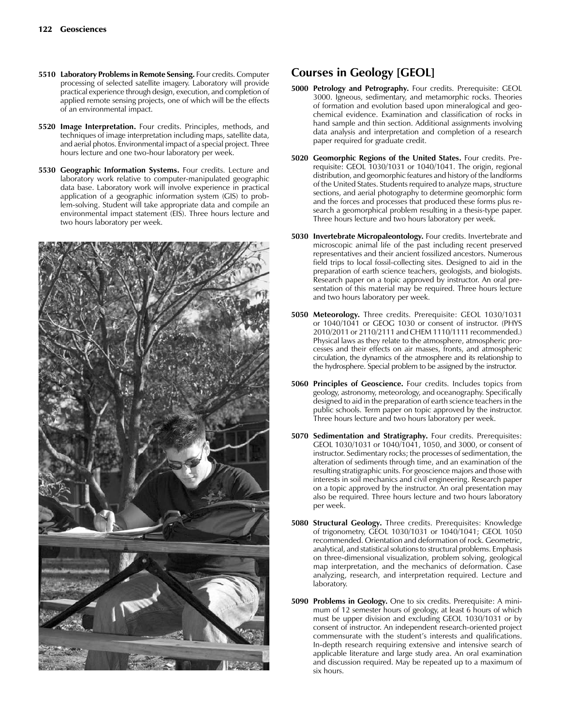- **5510 Laboratory Problems in Remote Sensing.** Four credits. Computer processing of selected satellite imagery. Laboratory will provide practical experience through design, execution, and completion of applied remote sensing projects, one of which will be the effects of an environmental impact.
- **5520 Image Interpretation.** Four credits. Principles, methods, and techniques of image interpretation including maps, satellite data, and aerial photos. Environmental impact of a special project. Three hours lecture and one two-hour laboratory per week.
- **5530 Geographic Information Systems.** Four credits. Lecture and laboratory work relative to computer-manipulated geographic data base. Laboratory work will involve experience in practical application of a geographic information system (GIS) to problem-solving. Student will take appropriate data and compile an environmental impact statement (EIS). Three hours lecture and two hours laboratory per week.



## **Courses in Geology [GEOL]**

- **5000 Petrology and Petrography.** Four credits. Prerequisite: GEOL 3000. Igneous, sedimentary, and metamorphic rocks. Theories of formation and evolution based upon mineralogical and geochemical evidence. Examination and classification of rocks in hand sample and thin section. Additional assignments involving data analysis and interpretation and completion of a research paper required for graduate credit.
- **5020 Geomorphic Regions of the United States.** Four credits. Prerequisite: GEOL 1030/1031 or 1040/1041. The origin, regional distribution, and geomorphic features and history of the landforms of the United States. Students required to analyze maps, structure sections, and aerial photography to determine geomorphic form and the forces and processes that produced these forms plus research a geomorphical problem resulting in a thesis-type paper. Three hours lecture and two hours laboratory per week.
- **5030 Invertebrate Micropaleontology.** Four credits. Invertebrate and microscopic animal life of the past including recent preserved representatives and their ancient fossilized ancestors. Numerous field trips to local fossil-collecting sites. Designed to aid in the preparation of earth science teachers, geologists, and biologists. Research paper on a topic approved by instructor. An oral presentation of this material may be required. Three hours lecture and two hours laboratory per week.
- **5050 Meteorology.** Three credits. Prerequisite: GEOL 1030/1031 or 1040/1041 or GEOG 1030 or consent of instructor. (PHYS 2010/2011 or 2110/2111 and CHEM 1110/1111 recommended.) Physical laws as they relate to the atmosphere, atmospheric processes and their effects on air masses, fronts, and atmospheric circulation, the dynamics of the atmosphere and its relationship to the hydrosphere. Special problem to be assigned by the instructor.
- **5060 Principles of Geoscience.** Four credits. Includes topics from geology, astronomy, meteorology, and oceanography. Specifically designed to aid in the preparation of earth science teachers in the public schools. Term paper on topic approved by the instructor. Three hours lecture and two hours laboratory per week.
- **5070 Sedimentation and Stratigraphy.** Four credits. Prerequisites: GEOL 1030/1031 or 1040/1041, 1050, and 3000, or consent of instructor. Sedimentary rocks; the processes of sedimentation, the alteration of sediments through time, and an examination of the resulting stratigraphic units. For geoscience majors and those with interests in soil mechanics and civil engineering. Research paper on a topic approved by the instructor. An oral presentation may also be required. Three hours lecture and two hours laboratory per week.
- **5080 Structural Geology.** Three credits. Prerequisites: Knowledge of trigonometry, GEOL 1030/1031 or 1040/1041; GEOL 1050 recommended. Orientation and deformation of rock. Geometric, analytical, and statistical solutions to structural problems. Emphasis on three-dimensional visualization, problem solving, geological map interpretation, and the mechanics of deformation. Case analyzing, research, and interpretation required. Lecture and laboratory.
- **5090 Problems in Geology.** One to six credits. Prerequisite: A minimum of 12 semester hours of geology, at least 6 hours of which must be upper division and excluding GEOL 1030/1031 or by consent of instructor. An independent research-oriented project commensurate with the student's interests and qualifications. In-depth research requiring extensive and intensive search of applicable literature and large study area. An oral examination and discussion required. May be repeated up to a maximum of six hours.